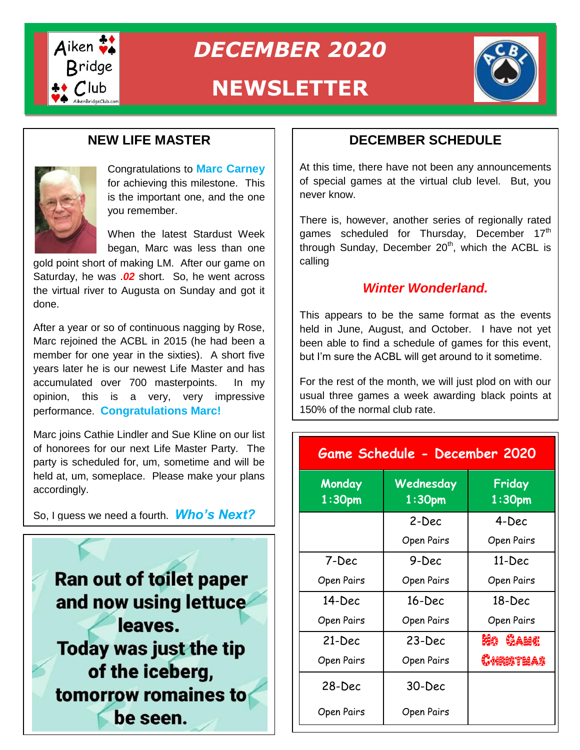

*DECEMBER 2020*

# **NEWSLETTER**



# **NEW LIFE MASTER**



Congratulations to **Marc Carney** for achieving this milestone. This is the important one, and the one you remember.

When the latest Stardust Week began, Marc was less than one

gold point short of making gold point short of making LM. After our game on Saturday, he was .02 short. So, he went across the virtual river to Augusta on Sunday and got it done.

After a year or so of continuous nagging by Rose, Alter a year of do or commadae hagging by Robe,<br>Marc rejoined the ACBL in 2015 (he had been a member for one year in the sixties). A short five years later he is our newest Life Master and has accumulated over 700 masterpoints. In my opinion, this is a very, very impressive performance. **Congratulations Marc!**

Marc joins Cathie Lindler and Sue Kline on our list of honorees for our next Life Master Party. The party is scheduled for, um, sometime and will be held at, um, someplace. Please make your plans accordingly.

So, I guess we need a fourth. *Who's Next?*



## **DECEMBER SCHEDULE**

At this time, there have not been any announcements of special games at the virtual club level. But, you never know.

There is, however, another series of regionally rated games scheduled for Thursday, December  $17<sup>th</sup>$ through Sunday, December  $20<sup>th</sup>$ , which the ACBL is calling

### *Winter Wonderland.*

This appears to be the same format as the events held in June, August, and October. I have not yet been able to find a schedule of games for this event, but I'm sure the ACBL will get around to it sometime.

For the rest of the month, we will just plod on with our usual three games a week awarding black points at 150% of the normal club rate.

| Game Schedule - December 2020 |                                 |                              |
|-------------------------------|---------------------------------|------------------------------|
| Monday<br>1:30 <sub>pm</sub>  | Wednesday<br>1:30 <sub>pm</sub> | Friday<br>1:30 <sub>pm</sub> |
|                               | 2-Dec                           | 4-Dec                        |
|                               | Open Pairs                      | <b>Open Pairs</b>            |
| 7-Dec                         | 9-Dec                           | $11 - Dec$                   |
| Open Pairs                    | Open Pairs                      | <b>Open Pairs</b>            |
| 14-Dec                        | $16$ -Dec                       | $18$ -Dec                    |
| Open Pairs                    | Open Pairs                      | <b>Open Pairs</b>            |
| 21-Dec                        | $23$ -Dec                       | HIG CAME                     |
| Open Pairs                    | Open Pairs                      | Christeas                    |
| 28-Dec                        | 30-Dec                          |                              |
| Open Pairs                    | <b>Open Pairs</b>               |                              |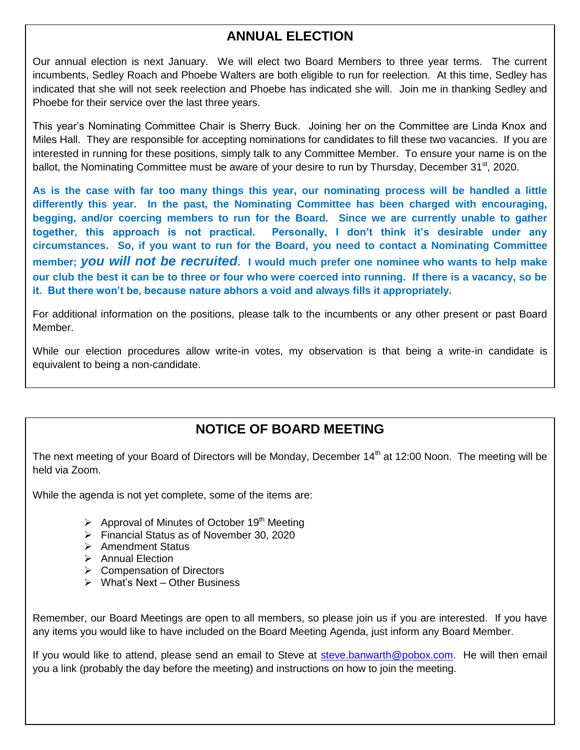# **ANNUAL ELECTION**

Our annual election is next January. We will elect two Board Members to three year terms. The current incumbents, Sedley Roach and Phoebe Walters are both eligible to run for reelection. At this time, Sedley has indicated that she will not seek reelection and Phoebe has indicated she will. Join me in thanking Sedley and Phoebe for their service over the last three years.

This year's Nominating Committee Chair is Sherry Buck. Joining her on the Committee are Linda Knox and Miles Hall. They are responsible for accepting nominations for candidates to fill these two vacancies. If you are interested in running for these positions, simply talk to any Committee Member. To ensure your name is on the ballot, the Nominating Committee must be aware of your desire to run by Thursday, December 31<sup>st</sup>, 2020.

**As is the case with far too many things this year, our nominating process will be handled a little differently this year. In the past, the Nominating Committee has been charged with encouraging, begging, and/or coercing members to run for the Board. Since we are currently unable to gather together, this approach is not practical. Personally, I don't think it's desirable under any circumstances. So, if you want to run for the Board, you need to contact a Nominating Committee member;** *you will not be recruited***. I would much prefer one nominee who wants to help make our club the best it can be to three or four who were coerced into running. If there is a vacancy, so be it. But there won't be, because nature abhors a void and always fills it appropriately.**

For additional information on the positions, please talk to the incumbents or any other present or past Board Member.

While our election procedures allow write-in votes, my observation is that being a write-in candidate is equivalent to being a non-candidate.

# **NOTICE OF BOARD MEETING**

The next meeting of your Board of Directors will be Monday, December 14<sup>th</sup> at 12:00 Noon. The meeting will be held via Zoom.

While the agenda is not yet complete, some of the items are:

- $\triangleright$  Approval of Minutes of October 19<sup>th</sup> Meeting
- Financial Status as of November 30, 2020
- $\triangleright$  Amendment Status
- $\triangleright$  Annual Election
- **►** Compensation of Directors
- $\triangleright$  What's Next Other Business

Remember, our Board Meetings are open to all members, so please join us if you are interested. If you have any items you would like to have included on the Board Meeting Agenda, just inform any Board Member.

If you would like to attend, please send an email to Steve at [steve.banwarth@pobox.com.](mailto:steve.banwarth@pobox.com) He will then email you a link (probably the day before the meeting) and instructions on how to join the meeting.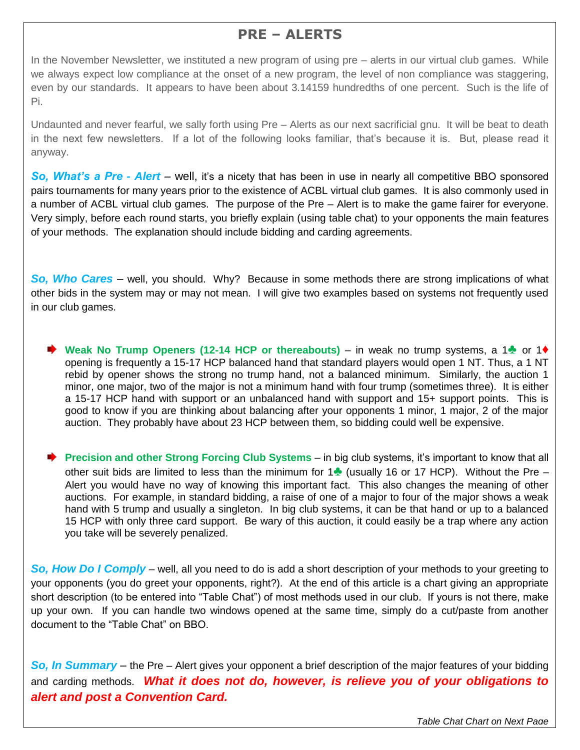# **PRE – ALERTS**

In the November Newsletter, we instituted a new program of using pre – alerts in our virtual club games. While we always expect low compliance at the onset of a new program, the level of non compliance was staggering, even by our standards. It appears to have been about 3.14159 hundredths of one percent. Such is the life of Pi.

Undaunted and never fearful, we sally forth using Pre – Alerts as our next sacrificial gnu. It will be beat to death in the next few newsletters. If a lot of the following looks familiar, that's because it is. But, please read it anyway.

*So, What's a Pre - Alert* – well, it's a nicety that has been in use in nearly all competitive BBO sponsored pairs tournaments for many years prior to the existence of ACBL virtual club games. It is also commonly used in a number of ACBL virtual club games. The purpose of the Pre – Alert is to make the game fairer for everyone. Very simply, before each round starts, you briefly explain (using table chat) to your opponents the main features of your methods. The explanation should include bidding and carding agreements.

*So, Who Cares* – well, you should. Why? Because in some methods there are strong implications of what other bids in the system may or may not mean. I will give two examples based on systems not frequently used in our club games.

**Weak No Trump Openers (12-14 HCP or thereabouts)** – in weak no trump systems, a 1<del></del> or 1♦ opening is frequently a 15-17 HCP balanced hand that standard players would open 1 NT. Thus, a 1 NT rebid by opener shows the strong no trump hand, not a balanced minimum. Similarly, the auction 1 minor, one major, two of the major is not a minimum hand with four trump (sometimes three). It is either a 15-17 HCP hand with support or an unbalanced hand with support and 15+ support points. This is good to know if you are thinking about balancing after your opponents 1 minor, 1 major, 2 of the major auction. They probably have about 23 HCP between them, so bidding could well be expensive.

**►** Precision and other Strong Forcing Club Systems – in big club systems, it's important to know that all other suit bids are limited to less than the minimum for 1♣ (usually 16 or 17 HCP). Without the Pre – Alert you would have no way of knowing this important fact. This also changes the meaning of other auctions. For example, in standard bidding, a raise of one of a major to four of the major shows a weak hand with 5 trump and usually a singleton. In big club systems, it can be that hand or up to a balanced 15 HCP with only three card support. Be wary of this auction, it could easily be a trap where any action you take will be severely penalized.

*So, How Do I Comply* – well, all you need to do is add a short description of your methods to your greeting to your opponents (you do greet your opponents, right?). At the end of this article is a chart giving an appropriate short description (to be entered into "Table Chat") of most methods used in our club. If yours is not there, make up your own. If you can handle two windows opened at the same time, simply do a cut/paste from another document to the "Table Chat" on BBO.

*So, In Summary* – the Pre – Alert gives your opponent a brief description of the major features of your bidding and carding methods. *What it does not do, however, is relieve you of your obligations to alert and post a Convention Card.*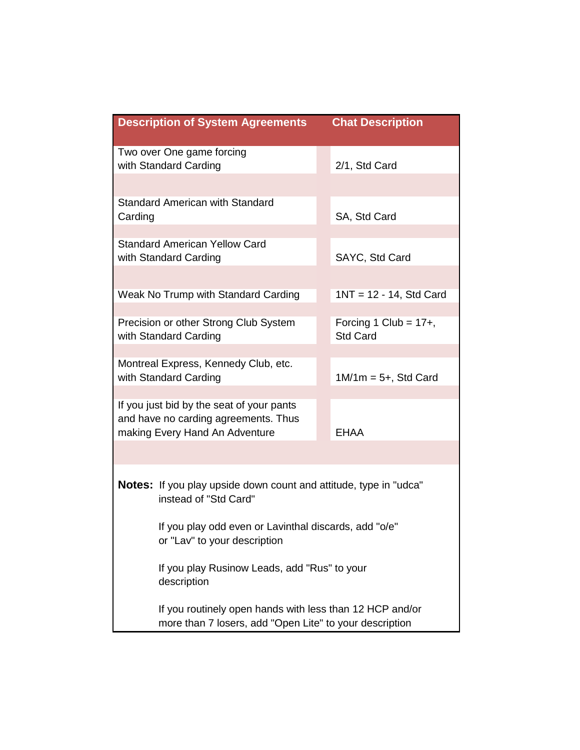|         | <b>Description of System Agreements</b>                                                                             | <b>Chat Description</b>                     |
|---------|---------------------------------------------------------------------------------------------------------------------|---------------------------------------------|
|         | Two over One game forcing<br>with Standard Carding                                                                  | 2/1, Std Card                               |
| Carding | <b>Standard American with Standard</b>                                                                              | SA, Std Card                                |
|         | <b>Standard American Yellow Card</b><br>with Standard Carding                                                       | SAYC, Std Card                              |
|         | Weak No Trump with Standard Carding                                                                                 | $1NT = 12 - 14$ , Std Card                  |
|         | Precision or other Strong Club System<br>with Standard Carding                                                      | Forcing 1 Club = $17+$ ,<br><b>Std Card</b> |
|         | Montreal Express, Kennedy Club, etc.<br>with Standard Carding                                                       | $1M/1m = 5+$ , Std Card                     |
|         | If you just bid by the seat of your pants<br>and have no carding agreements. Thus<br>making Every Hand An Adventure | <b>EHAA</b>                                 |
|         | <b>Notes:</b> If you play upside down count and attitude, type in "udca"<br>instead of "Std Card"                   |                                             |
|         | If you play odd even or Lavinthal discards, add "o/e"<br>or "Lav" to your description                               |                                             |
|         | If you play Rusinow Leads, add "Rus" to your<br>description                                                         |                                             |
|         | If you routinely open hands with less than 12 HCP and/or<br>more than 7 losers, add "Open Lite" to your description |                                             |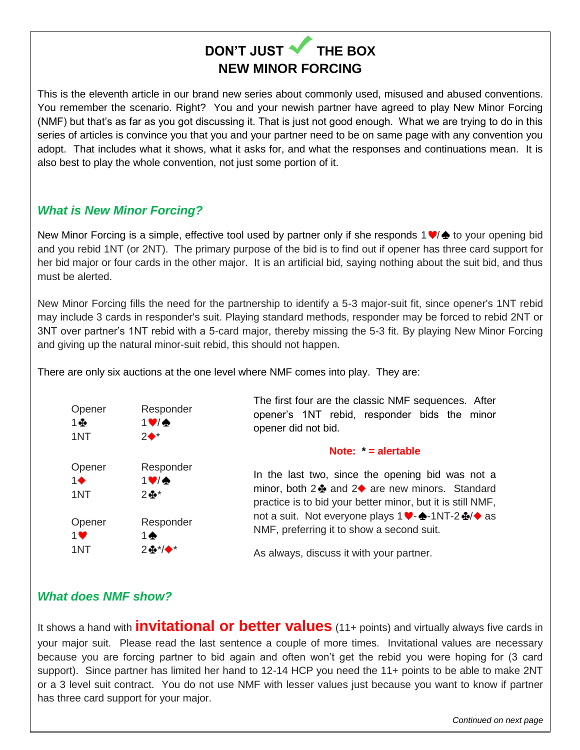# **DON'T JUST V THE BOX NEW MINOR FORCING**

This is the eleventh article in our brand new series about commonly used, misused and abused conventions. You remember the scenario. Right? You and your newish partner have agreed to play New Minor Forcing (NMF) but that's as far as you got discussing it. That is just not good enough. What we are trying to do in this series of articles is convince you that you and your partner need to be on same page with any convention you adopt. That includes what it shows, what it asks for, and what the responses and continuations mean. It is also best to play the whole convention, not just some portion of it.

#### *What is New Minor Forcing?*

New Minor Forcing is a simple, effective tool used by partner only if she responds  $1 \vee \phi$  to your opening bid and you rebid 1NT (or 2NT). The primary purpose of the bid is to find out if opener has three card support for her bid major or four cards in the other major. It is an artificial bid, saying nothing about the suit bid, and thus must be alerted.

New Minor Forcing fills the need for the partnership to identify a 5-3 major-suit fit, since opener's 1NT rebid may include 3 cards in responder's suit. Playing standard methods, responder may be forced to rebid 2NT or 3NT over partner's 1NT rebid with a 5-card major, thereby missing the 5-3 fit. By playing New Minor Forcing and giving up the natural minor-suit rebid, this should not happen.

There are only six auctions at the one level where NMF comes into play. They are:



#### *What does NMF show?*

It shows a hand with **invitational or better values** (11+ points) and virtually always five cards in your major suit. Please read the last sentence a couple of more times. Invitational values are necessary because you are forcing partner to bid again and often won't get the rebid you were hoping for (3 card support). Since partner has limited her hand to 12-14 HCP you need the 11+ points to be able to make 2NT or a 3 level suit contract. You do not use NMF with lesser values just because you want to know if partner has three card support for your major.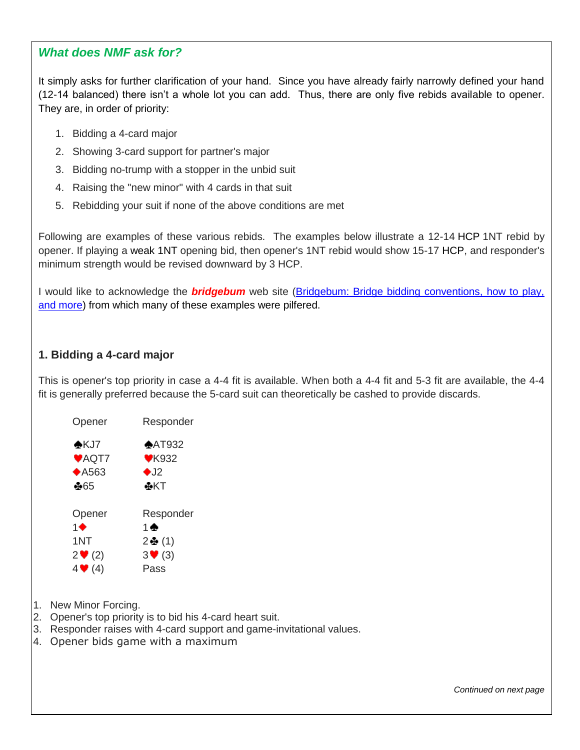#### *What does NMF ask for?*

It simply asks for further clarification of your hand. Since you have already fairly narrowly defined your hand (12-14 balanced) there isn't a whole lot you can add. Thus, there are only five rebids available to opener. They are, in order of priority:

- 1. Bidding a 4-card major
- 2. Showing 3-card support for partner's major
- 3. Bidding no-trump with a stopper in the unbid suit
- 4. Raising the "new minor" with 4 cards in that suit
- 5. Rebidding your suit if none of the above conditions are met

Following are examples of these various rebids. The examples below illustrate a 12-14 [HCP](https://www.bridgebum.com/high_card_points.php) 1NT rebid by opener. If playing a [weak 1NT](https://www.bridgebum.com/weak_1nt.php) opening bid, then opener's 1NT rebid would show 15-17 [HCP,](https://www.bridgebum.com/high_card_points.php) and responder's minimum strength would be revised downward by 3 HCP.

I would like to acknowledge the *bridgebum* web site [\(Bridgebum: Bridge bidding conventions, how to play,](https://www.bridgebum.com/)  [and more\)](https://www.bridgebum.com/) from which many of these examples were pilfered.

#### **1. Bidding a 4-card major**

This is opener's top priority in case a 4-4 fit is available. When both a 4-4 fit and 5-3 fit are available, the 4-4 fit is generally preferred because the 5-card suit can theoretically be cashed to provide discards.

| Opener                      | Responder                  |
|-----------------------------|----------------------------|
| AKJ7                        | $\triangle$ AT932          |
| VAQT7                       | $V$ K932                   |
| $\triangle$ A563            | $\bullet$ J2               |
| ⊕65                         | ⊷кт                        |
| Opener                      | Responder                  |
| 1♠                          | 1 ♠                        |
| 1NT                         | 2壘(1)                      |
| $2 \blacktriangleright (2)$ | $3 \blacktriangledown (3)$ |
| $4 \blacktriangleright (4)$ | Pass                       |

- 1. New Minor Forcing.
- 2. Opener's top priority is to bid his 4-card heart suit.
- 3. Responder raises with 4-card support and game-invitational values.
- 4. Opener bids game with a maximum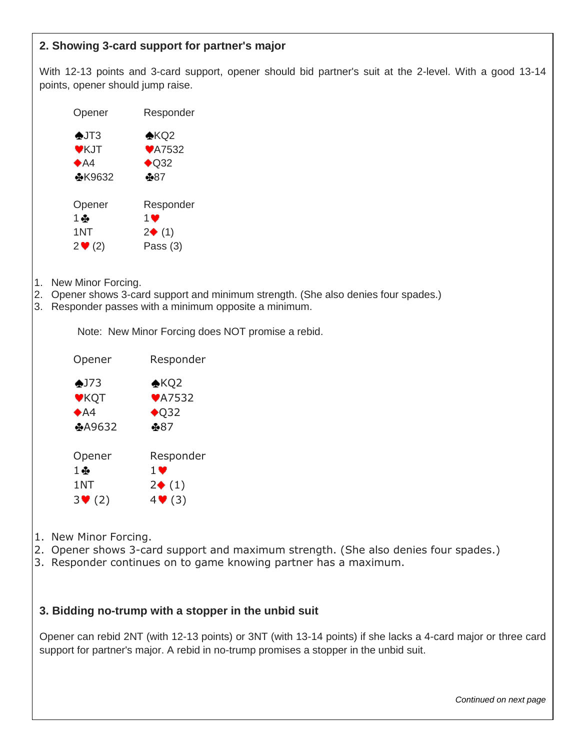#### **2. Showing 3-card support for partner's major**

With 12-13 points and 3-card support, opener should bid partner's suit at the 2-level. With a good 13-14 points, opener should jump raise.

| Opener                     | Responder            |
|----------------------------|----------------------|
| $\bigtriangleup$ JT3       | $\bigstar$ KQ2       |
| VKJT                       | <b>₩A7532</b>        |
| A4                         | $\bigstar$ Q32       |
| <b>₩K9632</b>              | +∌৪7                 |
| Opener                     | Responder            |
| 1 ⊕                        | 1 ❤                  |
| 1NT                        | $2\blacklozenge$ (1) |
| $2 \blacktriangledown (2)$ | Pass (3)             |

- 1. New Minor Forcing.
- 2. Opener shows 3-card support and minimum strength. (She also denies four spades.)
- 3. Responder passes with a minimum opposite a minimum.

Note: New Minor Forcing does NOT promise a rebid.

| Opener                     | Responder           |
|----------------------------|---------------------|
| $•$ J73                    | $\bigstar$ KQ2      |
| <b>VKQT</b>                | <b>₩A7532</b>       |
| A4                         | $\bigstar$ Q32      |
| <b>⊕A9632</b>              | \$87                |
| Opener                     | Responder           |
| $1 +$                      | 1 V                 |
| 1NT                        | $2\blacklozenge(1)$ |
| $3 \blacktriangledown (2)$ | $4 \cdot (3)$       |

- 1. New Minor Forcing.
- 2. Opener shows 3-card support and maximum strength. (She also denies four spades.)
- 3. Responder continues on to game knowing partner has a maximum.

#### **3. Bidding no-trump with a stopper in the unbid suit**

Opener can rebid 2NT (with 12-13 points) or 3NT (with 13-14 points) if she lacks a 4-card major or three card support for partner's major. A rebid in no-trump promises a stopper in the unbid suit.

*Continued on next page*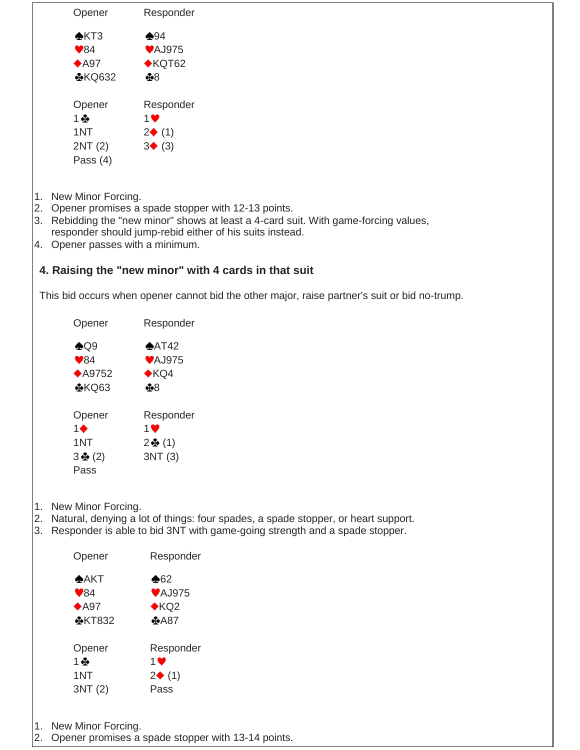| $\triangle$ KT3<br>$\blacktriangledown$ 84<br>$*$ A97<br>1 ⊕<br>1.<br>$\clubsuit$ Q9<br>$\blacktriangledown$ 84<br>Opener<br>$1\blacklozenge$<br>1NT<br>$3\clubsuit(2)$<br>Pass<br>1.<br>2.<br>Opener | <b>⊕KQ632</b><br>Opener<br>1NT<br>2NT (2)<br>Pass $(4)$<br>New Minor Forcing.<br>Opener<br>$*$ A9752 | $\clubsuit 94$<br><b>♥AJ975</b><br>$\bigstar$ KQT62<br>$+8$<br>Responder<br>$1$ V<br>$2\blacklozenge(1)$<br>3(3)<br>2. Opener promises a spade stopper with 12-13 points.<br>3. Rebidding the "new minor" shows at least a 4-card suit. With game-forcing values,<br>responder should jump-rebid either of his suits instead.<br>4. Opener passes with a minimum.<br>4. Raising the "new minor" with 4 cards in that suit<br>This bid occurs when opener cannot bid the other major, raise partner's suit or bid no-trump.<br>Responder<br>$*AT42$<br><b>♥AJ975</b><br>$\bigstar$ KQ4<br>$+8$ |
|-------------------------------------------------------------------------------------------------------------------------------------------------------------------------------------------------------|------------------------------------------------------------------------------------------------------|-----------------------------------------------------------------------------------------------------------------------------------------------------------------------------------------------------------------------------------------------------------------------------------------------------------------------------------------------------------------------------------------------------------------------------------------------------------------------------------------------------------------------------------------------------------------------------------------------|
|                                                                                                                                                                                                       |                                                                                                      |                                                                                                                                                                                                                                                                                                                                                                                                                                                                                                                                                                                               |
|                                                                                                                                                                                                       |                                                                                                      |                                                                                                                                                                                                                                                                                                                                                                                                                                                                                                                                                                                               |
|                                                                                                                                                                                                       |                                                                                                      |                                                                                                                                                                                                                                                                                                                                                                                                                                                                                                                                                                                               |
|                                                                                                                                                                                                       |                                                                                                      |                                                                                                                                                                                                                                                                                                                                                                                                                                                                                                                                                                                               |
|                                                                                                                                                                                                       |                                                                                                      |                                                                                                                                                                                                                                                                                                                                                                                                                                                                                                                                                                                               |
|                                                                                                                                                                                                       |                                                                                                      |                                                                                                                                                                                                                                                                                                                                                                                                                                                                                                                                                                                               |
|                                                                                                                                                                                                       |                                                                                                      |                                                                                                                                                                                                                                                                                                                                                                                                                                                                                                                                                                                               |
|                                                                                                                                                                                                       |                                                                                                      |                                                                                                                                                                                                                                                                                                                                                                                                                                                                                                                                                                                               |
|                                                                                                                                                                                                       |                                                                                                      |                                                                                                                                                                                                                                                                                                                                                                                                                                                                                                                                                                                               |
|                                                                                                                                                                                                       |                                                                                                      |                                                                                                                                                                                                                                                                                                                                                                                                                                                                                                                                                                                               |
|                                                                                                                                                                                                       |                                                                                                      |                                                                                                                                                                                                                                                                                                                                                                                                                                                                                                                                                                                               |
|                                                                                                                                                                                                       |                                                                                                      |                                                                                                                                                                                                                                                                                                                                                                                                                                                                                                                                                                                               |
|                                                                                                                                                                                                       |                                                                                                      |                                                                                                                                                                                                                                                                                                                                                                                                                                                                                                                                                                                               |
|                                                                                                                                                                                                       |                                                                                                      |                                                                                                                                                                                                                                                                                                                                                                                                                                                                                                                                                                                               |
|                                                                                                                                                                                                       |                                                                                                      |                                                                                                                                                                                                                                                                                                                                                                                                                                                                                                                                                                                               |
|                                                                                                                                                                                                       |                                                                                                      |                                                                                                                                                                                                                                                                                                                                                                                                                                                                                                                                                                                               |
|                                                                                                                                                                                                       |                                                                                                      |                                                                                                                                                                                                                                                                                                                                                                                                                                                                                                                                                                                               |
|                                                                                                                                                                                                       | <b>⊕KQ63</b>                                                                                         |                                                                                                                                                                                                                                                                                                                                                                                                                                                                                                                                                                                               |
|                                                                                                                                                                                                       |                                                                                                      |                                                                                                                                                                                                                                                                                                                                                                                                                                                                                                                                                                                               |
|                                                                                                                                                                                                       |                                                                                                      | Responder<br>$1$ $\blacktriangledown$                                                                                                                                                                                                                                                                                                                                                                                                                                                                                                                                                         |
|                                                                                                                                                                                                       |                                                                                                      |                                                                                                                                                                                                                                                                                                                                                                                                                                                                                                                                                                                               |
|                                                                                                                                                                                                       |                                                                                                      | $2 + (1)$                                                                                                                                                                                                                                                                                                                                                                                                                                                                                                                                                                                     |
|                                                                                                                                                                                                       |                                                                                                      | 3NT(3)                                                                                                                                                                                                                                                                                                                                                                                                                                                                                                                                                                                        |
|                                                                                                                                                                                                       | New Minor Forcing.                                                                                   | Natural, denying a lot of things: four spades, a spade stopper, or heart support.                                                                                                                                                                                                                                                                                                                                                                                                                                                                                                             |
|                                                                                                                                                                                                       |                                                                                                      | 3. Responder is able to bid 3NT with game-going strength and a spade stopper.                                                                                                                                                                                                                                                                                                                                                                                                                                                                                                                 |
|                                                                                                                                                                                                       |                                                                                                      | Responder                                                                                                                                                                                                                                                                                                                                                                                                                                                                                                                                                                                     |
| AKT                                                                                                                                                                                                   |                                                                                                      | $\clubsuit$ 62                                                                                                                                                                                                                                                                                                                                                                                                                                                                                                                                                                                |
| $\blacktriangledown_{84}$                                                                                                                                                                             |                                                                                                      | <b>♥AJ975</b>                                                                                                                                                                                                                                                                                                                                                                                                                                                                                                                                                                                 |
| $*$ A97                                                                                                                                                                                               |                                                                                                      | KQ2                                                                                                                                                                                                                                                                                                                                                                                                                                                                                                                                                                                           |
|                                                                                                                                                                                                       | <b>MKT832</b>                                                                                        | 4A87                                                                                                                                                                                                                                                                                                                                                                                                                                                                                                                                                                                          |
|                                                                                                                                                                                                       |                                                                                                      |                                                                                                                                                                                                                                                                                                                                                                                                                                                                                                                                                                                               |
|                                                                                                                                                                                                       |                                                                                                      |                                                                                                                                                                                                                                                                                                                                                                                                                                                                                                                                                                                               |
| 1叠                                                                                                                                                                                                    | Opener                                                                                               | Responder                                                                                                                                                                                                                                                                                                                                                                                                                                                                                                                                                                                     |
| 1NT<br>3NT(2)                                                                                                                                                                                         |                                                                                                      | $1$ $\blacktriangledown$<br>$2\blacklozenge$ (1)                                                                                                                                                                                                                                                                                                                                                                                                                                                                                                                                              |

- 1. New Minor Forcing.
- 2. Opener promises a spade stopper with 13-14 points.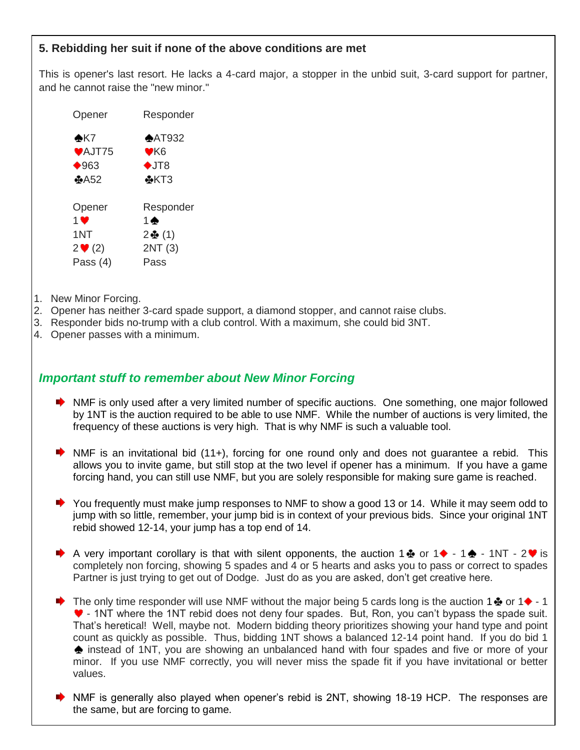#### **5. Rebidding her suit if none of the above conditions are met**

This is opener's last resort. He lacks a 4-card major, a stopper in the unbid suit, 3-card support for partner, and he cannot raise the "new minor."

| Opener                     | Responder         |
|----------------------------|-------------------|
| $\clubsuit$ K7             | $\triangle$ AT932 |
| <b>♥AJT75</b>              | ♥K6               |
| $\bullet$ 963              | $\bigstar$ JT8    |
| $\clubsuit$ A52            | $*KT3$            |
|                            |                   |
| Opener                     | Responder         |
| 1 ♥                        | 1 ♠               |
| 1NT                        | $2$ $\Phi$ (1)    |
| $2 \blacktriangledown (2)$ | 2NT (3)           |
| Pass (4)                   | Pass              |

- 1. New Minor Forcing.
- 2. Opener has neither 3-card spade support, a diamond stopper, and cannot raise clubs.
- 3. Responder bids no-trump with a club control. With a maximum, she could bid 3NT.
- 4. Opener passes with a minimum.

#### *Important stuff to remember about New Minor Forcing*

- NMF is only used after a very limited number of specific auctions. One something, one major followed by 1NT is the auction required to be able to use NMF. While the number of auctions is very limited, the frequency of these auctions is very high. That is why NMF is such a valuable tool.
- $\blacktriangleright$  NMF is an invitational bid (11+), forcing for one round only and does not guarantee a rebid. This allows you to invite game, but still stop at the two level if opener has a minimum. If you have a game forcing hand, you can still use NMF, but you are solely responsible for making sure game is reached.
- ◆ You frequently must make jump responses to NMF to show a good 13 or 14. While it may seem odd to jump with so little, remember, your jump bid is in context of your previous bids. Since your original 1NT rebid showed 12-14, your jump has a top end of 14.
- A very important corollary is that with silent opponents, the auction 1  $\bullet$  or 1  $\bullet$  1 $\bullet$  1NT 2  $\bullet$  is completely non forcing, showing 5 spades and 4 or 5 hearts and asks you to pass or correct to spades Partner is just trying to get out of Dodge. Just do as you are asked, don't get creative here.
- The only time responder will use NMF without the major being 5 cards long is the auction 1  $\clubsuit$  or 1 $\blacklozenge$  1 - 1NT where the 1NT rebid does not deny four spades. But, Ron, you can't bypass the spade suit. That's heretical! Well, maybe not. Modern bidding theory prioritizes showing your hand type and point count as quickly as possible. Thus, bidding 1NT shows a balanced 12-14 point hand. If you do bid 1  $\triangle$  instead of 1NT, you are showing an unbalanced hand with four spades and five or more of your minor. If you use NMF correctly, you will never miss the spade fit if you have invitational or better values.
- NMF is generally also played when opener's rebid is 2NT, showing 18-19 HCP. The responses are the same, but are forcing to game.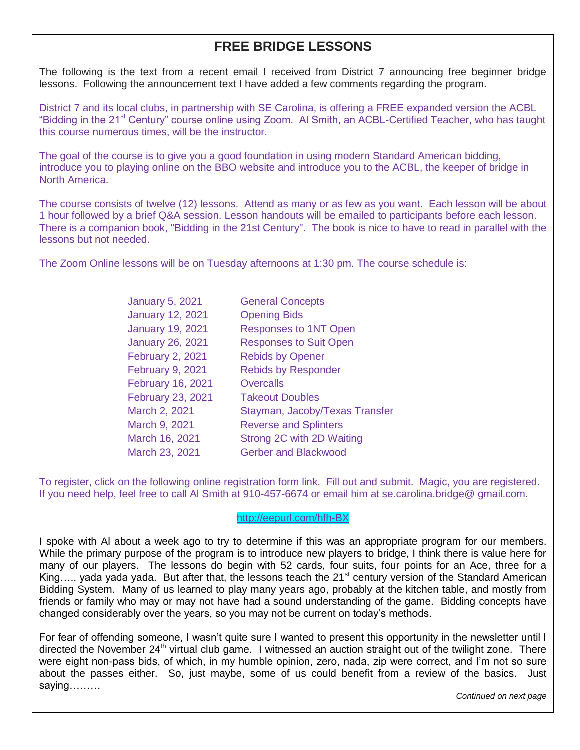# **FREE BRIDGE LESSONS**

The following is the text from a recent email I received from District 7 announcing free beginner bridge lessons. Following the announcement text I have added a few comments regarding the program.

District 7 and its local clubs, in partnership with SE Carolina, is offering a FREE expanded version the ACBL "Bidding in the 21<sup>st</sup> Century" course online using Zoom. Al Smith, an ACBL-Certified Teacher, who has taught this course numerous times, will be the instructor.

The goal of the course is to give you a good foundation in using modern Standard American bidding, introduce you to playing online on the BBO website and introduce you to the ACBL, the keeper of bridge in North America.

The course consists of twelve (12) lessons. Attend as many or as few as you want. Each lesson will be about 1 hour followed by a brief Q&A session. Lesson handouts will be emailed to participants before each lesson. There is a companion book, "Bidding in the 21st Century". The book is nice to have to read in parallel with the lessons but not needed.

The Zoom Online lessons will be on Tuesday afternoons at 1:30 pm. The course schedule is:

| <b>January 5, 2021</b>   | <b>General Concepts</b>        |
|--------------------------|--------------------------------|
| <b>January 12, 2021</b>  | <b>Opening Bids</b>            |
| <b>January 19, 2021</b>  | <b>Responses to 1NT Open</b>   |
| <b>January 26, 2021</b>  | <b>Responses to Suit Open</b>  |
| <b>February 2, 2021</b>  | <b>Rebids by Opener</b>        |
| <b>February 9, 2021</b>  | <b>Rebids by Responder</b>     |
| <b>February 16, 2021</b> | <b>Overcalls</b>               |
| February 23, 2021        | <b>Takeout Doubles</b>         |
| March 2, 2021            | Stayman, Jacoby/Texas Transfer |
| March 9, 2021            | <b>Reverse and Splinters</b>   |
| March 16, 2021           | Strong 2C with 2D Waiting      |
| March 23, 2021           | <b>Gerber and Blackwood</b>    |

To register, click on the following online registration form link. Fill out and submit. Magic, you are registered. If you need help, feel free to call Al Smith at 910-457-6674 or email him at se.carolina.bridge@ gmail.com.

#### <http://eepurl.com/hfh-BX>

I spoke with Al about a week ago to try to determine if this was an appropriate program for our members. While the primary purpose of the program is to introduce new players to bridge, I think there is value here for many of our players. The lessons do begin with 52 cards, four suits, four points for an Ace, three for a King..... yada yada yada. But after that, the lessons teach the 21<sup>st</sup> century version of the Standard American Bidding System. Many of us learned to play many years ago, probably at the kitchen table, and mostly from friends or family who may or may not have had a sound understanding of the game. Bidding concepts have changed considerably over the years, so you may not be current on today's methods.

For fear of offending someone, I wasn't quite sure I wanted to present this opportunity in the newsletter until I directed the November  $24<sup>th</sup>$  virtual club game. I witnessed an auction straight out of the twilight zone. There were eight non-pass bids, of which, in my humble opinion, zero, nada, zip were correct, and I'm not so sure about the passes either. So, just maybe, some of us could benefit from a review of the basics. Just saying………

*Continued on next page*